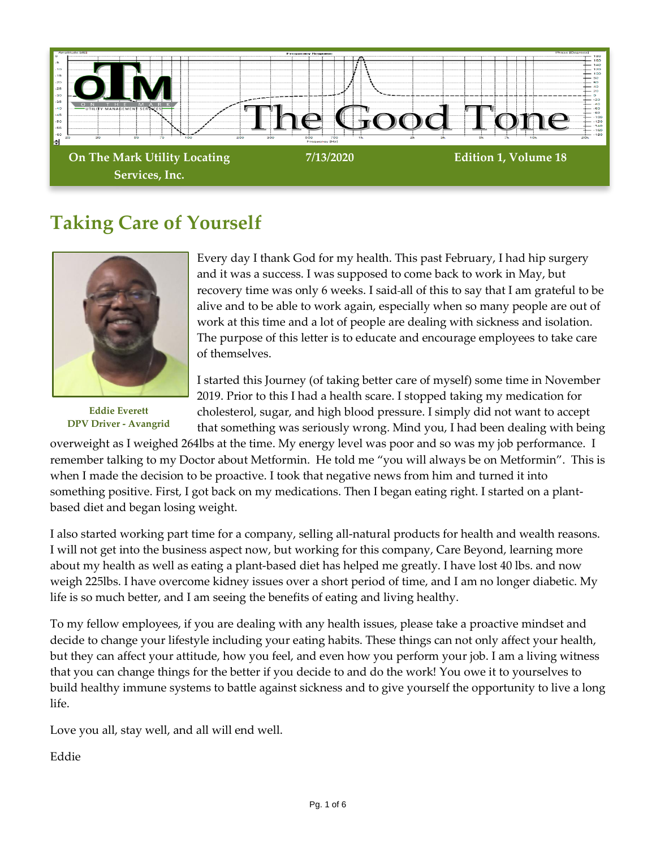

# **Taking Care of Yourself**



**Eddie Everett DPV Driver - Avangrid**

Every day I thank God for my health. This past February, I had hip surgery and it was a success. I was supposed to come back to work in May, but recovery time was only 6 weeks. I said all of this to say that I am grateful to be alive and to be able to work again, especially when so many people are out of work at this time and a lot of people are dealing with sickness and isolation. The purpose of this letter is to educate and encourage employees to take care of themselves.

I started this Journey (of taking better care of myself) some time in November 2019. Prior to this I had a health scare. I stopped taking my medication for cholesterol, sugar, and high blood pressure. I simply did not want to accept that something was seriously wrong. Mind you, I had been dealing with being

overweight as I weighed 264lbs at the time. My energy level was poor and so was my job performance. I remember talking to my Doctor about Metformin. He told me "you will always be on Metformin". This is when I made the decision to be proactive. I took that negative news from him and turned it into something positive. First, I got back on my medications. Then I began eating right. I started on a plantbased diet and began losing weight.

I also started working part time for a company, selling all-natural products for health and wealth reasons. I will not get into the business aspect now, but working for this company, Care Beyond, learning more about my health as well as eating a plant-based diet has helped me greatly. I have lost 40 lbs. and now weigh 225lbs. I have overcome kidney issues over a short period of time, and I am no longer diabetic. My life is so much better, and I am seeing the benefits of eating and living healthy.

To my fellow employees, if you are dealing with any health issues, please take a proactive mindset and decide to change your lifestyle including your eating habits. These things can not only affect your health, but they can affect your attitude, how you feel, and even how you perform your job. I am a living witness that you can change things for the better if you decide to and do the work! You owe it to yourselves to build healthy immune systems to battle against sickness and to give yourself the opportunity to live a long life.

Love you all, stay well, and all will end well.

Eddie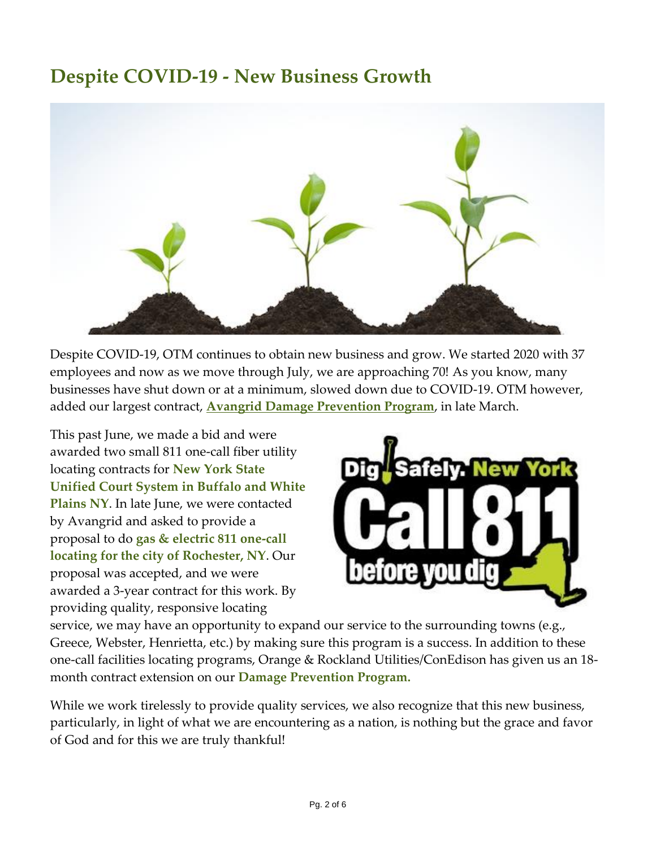## **Despite COVID-19 - New Business Growth**



Despite COVID-19, OTM continues to obtain new business and grow. We started 2020 with 37 employees and now as we move through July, we are approaching 70! As you know, many businesses have shut down or at a minimum, slowed down due to COVID-19. OTM however, added our largest contract, **[Avangrid Damage Prevention Program](https://12e01c37-f936-62ee-c3b5-d01ce01e03b3.filesusr.com/ugd/4db0aa_8ddbe80892c6472aba3064217f603e03.pdf)**, in late March.

This past June, we made a bid and were awarded two small 811 one-call fiber utility locating contracts for **New York State Unified Court System in Buffalo and White Plains NY**. In late June, we were contacted by Avangrid and asked to provide a proposal to do **gas & electric 811 one-call locating for the city of Rochester, NY**. Our proposal was accepted, and we were awarded a 3-year contract for this work. By providing quality, responsive locating



service, we may have an opportunity to expand our service to the surrounding towns (e.g., Greece, Webster, Henrietta, etc.) by making sure this program is a success. In addition to these one-call facilities locating programs, Orange & Rockland Utilities/ConEdison has given us an 18 month contract extension on our **Damage Prevention Program.**

While we work tirelessly to provide quality services, we also recognize that this new business, particularly, in light of what we are encountering as a nation, is nothing but the grace and favor of God and for this we are truly thankful!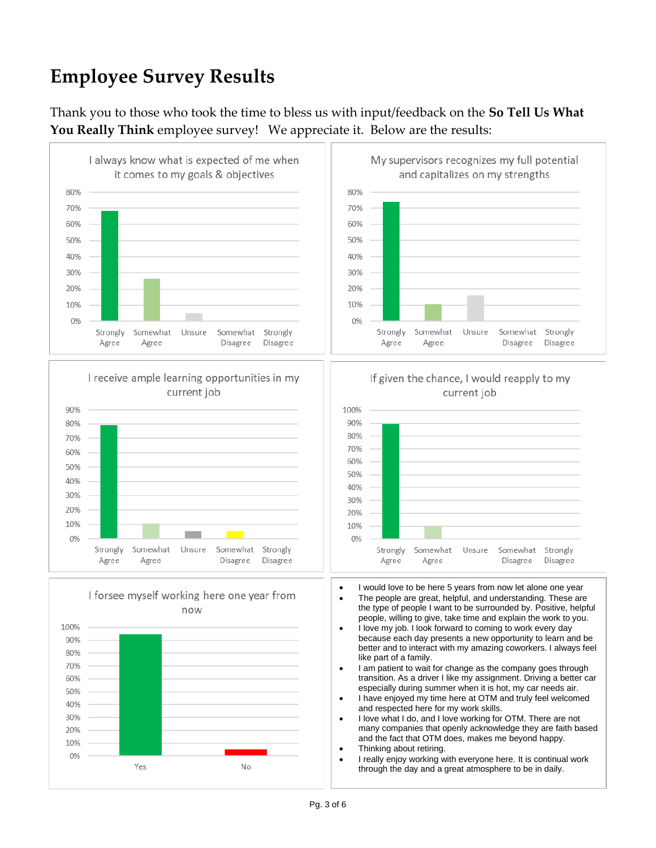# **Employee Survey Results**

Thank you to those who took the time to bless us with input/feedback on the **So Tell Us What You Really Think** employee survey! We appreciate it. Below are the results:

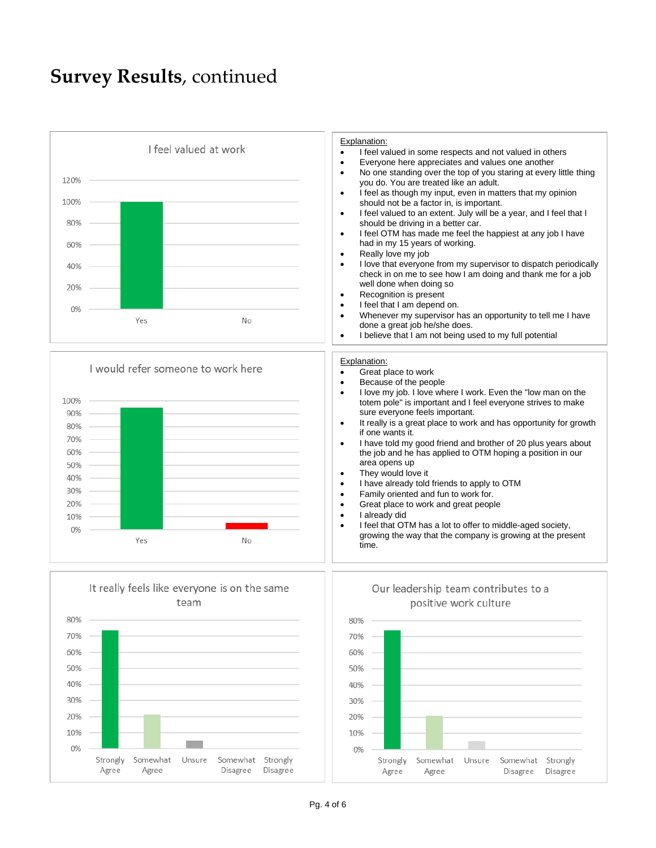#### **Survey Results**, continued

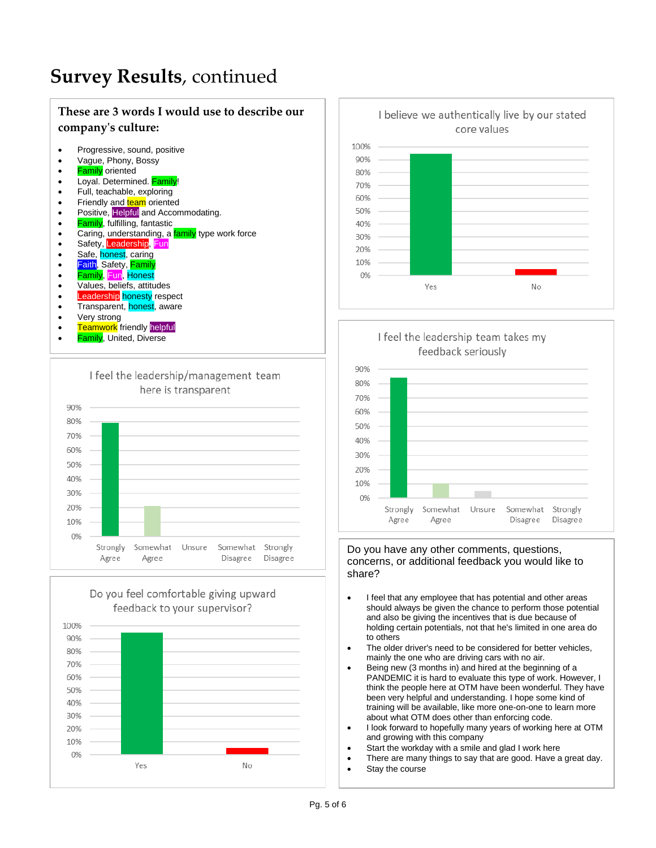### **Survey Results**, continued

#### **These are 3 words I would use to describe our company's culture:**

- Progressive, sound, positive
- Vague, Phony, Bossy
- **Family** oriented
- Loyal. Determined. **Family**
- Full, teachable, exploring
- Friendly and **team** oriented
- Positive, Helpful and Accommodating.
- **Family**, fulfilling, fantastic
- Caring, understanding, a family type work force
- Safety, Leadership, Fun
- Safe, honest, caring
- <mark>Faith</mark>, Safety, <mark>Family</mark>
- Family, Fun, Honest
- Values, beliefs, attitudes
- **Leadership** honesty respect
- Transparent, honest, aware
- Very strong
- Teamwork friendly helpful
- Family, United, Diverse











#### Do you have any other comments, questions, concerns, or additional feedback you would like to share?

- I feel that any employee that has potential and other areas should always be given the chance to perform those potential and also be giving the incentives that is due because of holding certain potentials, not that he's limited in one area do to others
- The older driver's need to be considered for better vehicles, mainly the one who are driving cars with no air.
- Being new (3 months in) and hired at the beginning of a PANDEMIC it is hard to evaluate this type of work. However, I think the people here at OTM have been wonderful. They have been very helpful and understanding. I hope some kind of training will be available, like more one-on-one to learn more about what OTM does other than enforcing code.
- I look forward to hopefully many years of working here at OTM and growing with this company
- Start the workday with a smile and glad I work here
- There are many things to say that are good. Have a great day.
- Stay the course